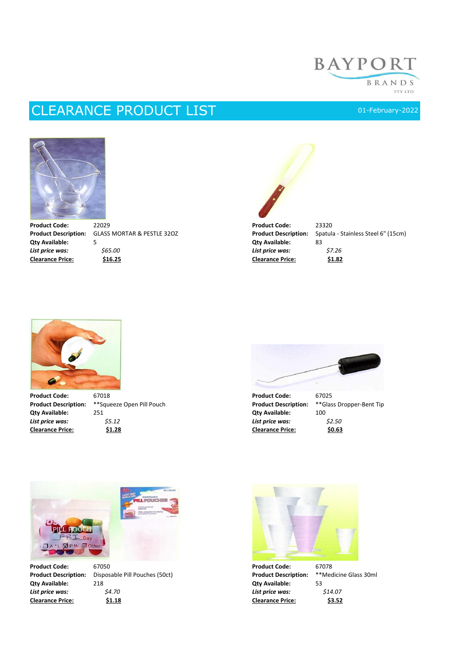## **BAYPORT** BRANDS PTY LTD

## CLEARANCE PRODUCT LIST 1/03/2022 01-February-2022



**Product Code:** 22029 **Product Code:** 23320

**Qty Available:** 5 **Canadian System Structure 2 and System Structure 2 and Structure 2 and System Structure 2 and Structure 3 and Structure 3 and Structure 3 and Structure 3 and Structure 3 and Structure 3 and Structure 3** *List price was: \$65.00 List price was: \$7.26* **Clearance Price: \$16.25 Clearance Price: \$1.82**



**Product Description:** GLASS MORTAR & PESTLE 32OZ **Product Description:** Spatula - Stainless Steel 6" (15cm)<br> **Qty Available:** 5





**Product Code:** 67018 **Product Code:** 67025 **Product Description:** \*\*Squeeze Open Pill Pouch **Product Description:** \*\*Glass Dropper-Bent Tip **Qty Available:** 251 **Qty Available:** 100 *List price was: \$5.12 List price was: \$2.50* **Clearance Price: \$1.28 Clearance Price: \$0.63**



*List price was: \$4.70 List price was: \$14.07*

**Product Code:** 67050 **Product Code:** 67078 **Product Description:** Disposable Pill Pouches (50ct) **Product Description:** \*\*Medicine Glass 30ml **Qty Available:** 218 **Qty Available:** 53



**Clearance Price: \$1.18 Clearance Price: \$3.52**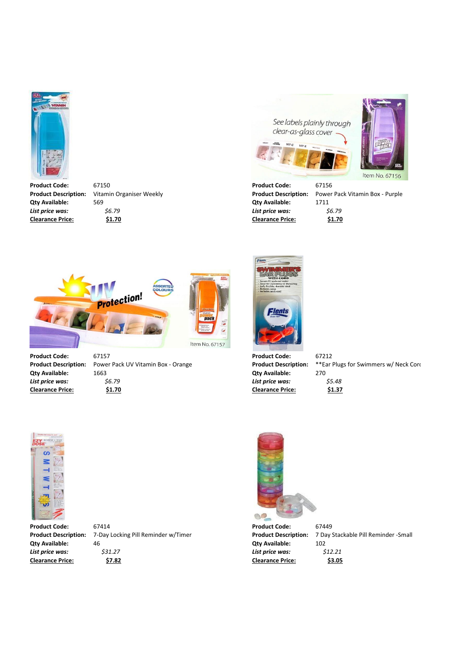

**Product Code:** 67150 **Product Code:** 67156 **Qty Available:** 569 **Qty Available:** 1711 *List price was: \$6.79 List price was: \$6.79* **Clearance Price: \$1.70 Clearance Price: \$1.70**





**Product Description:** Vitamin Organiser Weekly **Product Description:** Power Pack Vitamin Box - Purple



**Qty Available:** 1663 **Qty Available:** 270 *List price was: \$6.79 List price was: \$5.48*



**Clearance Price: \$1.70 Clearance Price: \$1.37**

**Product Description:** Power Pack UV Vitamin Box - Orange **Product Description:** \*\*Ear Plugs for Swimmers w/ Neck Cord



**Product Code:** 67414 **Product Code:** 67449

**Qty Available:** 46 **Qty Available:** 102 *List price was: \$31.27 List price was: \$12.21*



**Clearance Price: \$7.82 Clearance Price: \$3.05**

**Product Description:** 7-Day Locking Pill Reminder w/Timer **Product Description:** 7 Day Stackable Pill Reminder -Small

**Product Code:** 67157 **Product Code:** 67212

Item No. 67157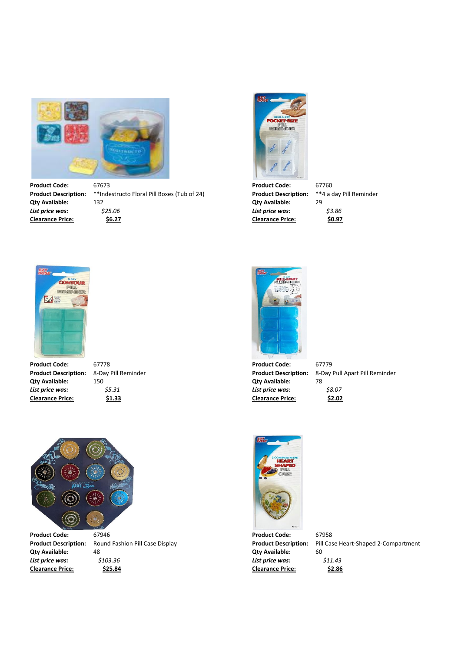

**Product Code:** 67673 67673 **Product Code:** 67760 **Product Code:** 67760 **Product Description:** \*\*Indestructo Floral Pill Boxes (Tub of 24) **Product Description:** \*\*4 a day Pill Reminder \*\*Indestructo Floral Pill Boxes (Tub of 24) **Product Description: Qty Available:** 132 **Qty Available:** 29 *List price was: \$25.06 List price was: \$3.86* **Clearance Price: \$6.27 Clearance Price: \$0.97**





**Product Code:** 67778 **Product Code:** 67779 **Qty Available:** 150 **Qty Available:** 78 *List price was: \$5.31 List price was: \$8.07* **Clearance Price: \$1.33 Clearance Price: \$2.02**



**Product Description:** 8-Day Pill Reminder **Product Description:** 8-Day Pull Apart Pill Reminder



**Qty Available:** 48 **Qty Available:** 60 *List price was: \$103.36 List price was: \$11.43* **Clearance Price: \$25.84 Clearance Price: \$2.86**



**Product Description:** Round Fashion Pill Case Display **Product Description:** Pill Case Heart-Shaped 2-Compartment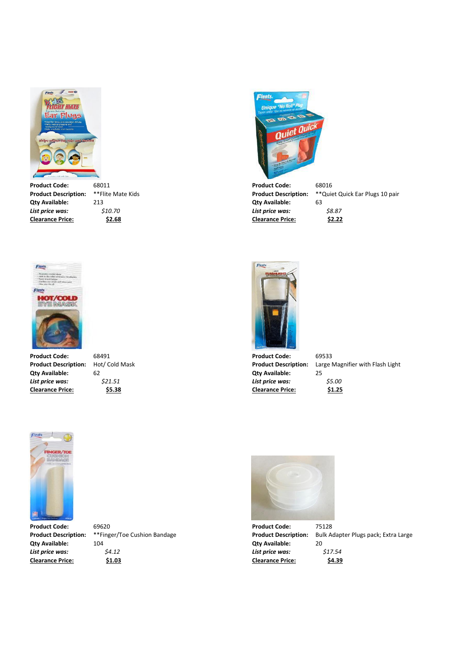



**Qty Available:** 62 **Qty Available:** 25 **Clearance Price: \$5.38 Clearance Price: \$1.25**



**Product Code:** 68011 68011 **Product Code:** 68016 **Product Code:** 68016 **Product Pescription:** \*\*Plite Mate Kids **Qty Available:** 213 **Qty Available:** 63 *List price was: \$10.70 List price was: \$8.87* **Clearance Price: \$2.68 Clearance Price: \$2.22**

Flents

**Product Description:** \*\*Flite Mate Kids **Product Description:** \*\*Quiet Quick Ear Plugs 10 pair





**Product Description:** Hot/ Cold Mask **Product Description:** Large Magnifier with Flash Light **Qty Available:** 25



**Product Code:** 69620 **Product Code:** 75128

**Qty Available:** 104 **Qty Available:** 20 *List price was: \$4.12 List price was: \$17.54* **Clearance Price: \$1.03 Clearance Price: \$4.39**



**Product Description:** \*\*Finger/Toe Cushion Bandage **Product Description:** Bulk Adapter Plugs pack; Extra Large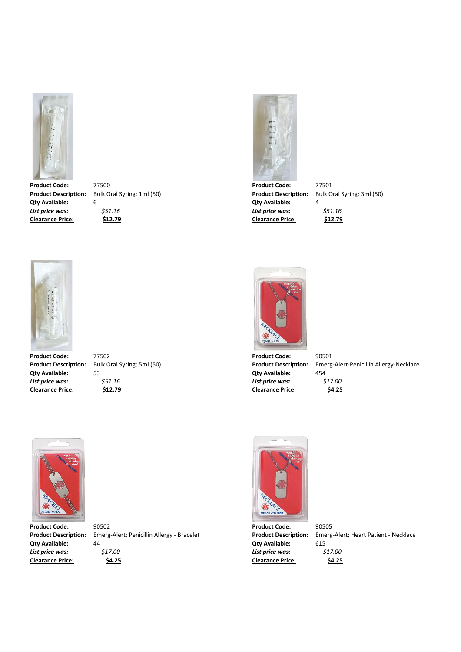

**Product Description:** Bulk Oral Syring; 1ml (50) **Product Description: Product Description: Qty Available:** 6 **Qty Available:** 4 *List price was: \$51.16 List price was: \$51.16*



**Clearance Price: \$12.79 Clearance Price: \$4.25**

**Product Code:** 77502 **Product Code:** 90501 **Qty Available:** 53 **Qty Available:** 454



**Clearance Price: \$12.79 Clearance Price: \$12.79**

**Product Code:** 77500 77500 77500<br> **Product Description:** Bulk Oral Syring; 1ml (50) **Product Description:** Bulk Oral Syring; 3ml (50)



*List price was:*  $\frac{551.16}{24.25}$  *S S 17.00*<br> *Clearance Price:*  $\frac{54.25}{24.25}$ 

**Product Description:** Bulk Oral Syring; 5ml (50) **Product Description:** Emerg-Alert-Penicillin Allergy-Necklace







**Clearance Price: \$4.25 Clearance Price: \$4.25**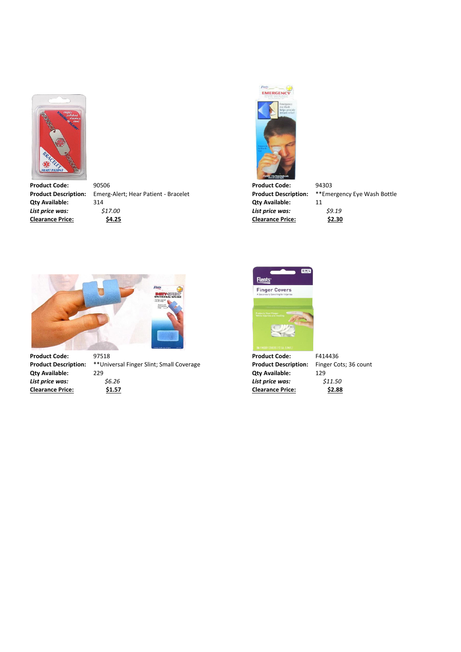

Product Code: 90506 90506<br> **Product Description:** Emerg-Alert; Hear Patient - Bracelet **Product Description:** \*\*Emergency Eye Wash Bottle **Emerg-Alert; Hear Patient - Bracelet Qty Available:** 314 **Qty Available:** 11 *List price was: \$17.00 List price was: \$9.19* **Clearance Price: \$4.25 Clearance Price: \$2.30**





**Product Code:** 97518 **Product Code:** F414436 **Product Description:** \*\*Universal Finger Slint; Small Coverage **Product Description:** Finger Cots; 36 count **Qty Available:** 229 **Qty Available:** 129 *List price was: \$6.26 List price was: \$11.50*



**Clearance Price: \$1.57 Clearance Price: \$2.88**